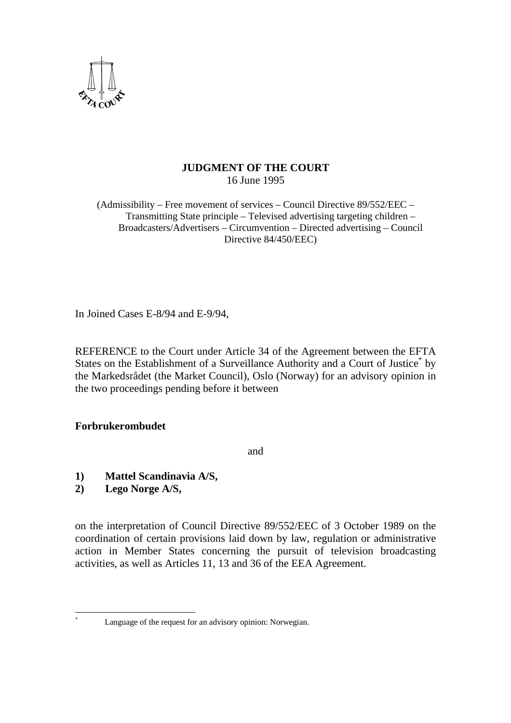

# **JUDGMENT OF THE COURT**  16 June 1995

(Admissibility – Free movement of services – Council Directive 89/552/EEC – Transmitting State principle – Televised advertising targeting children – Broadcasters/Advertisers – Circumvention – Directed advertising – Council Directive 84/450/EEC)

In Joined Cases E-8/94 and E-9/94,

REFERENCE to the Court under Article 34 of the Agreement between the EFTA States on the Establishment of a Surveillance Authority and a Court of Justice<sup>\*</sup> by the Markedsrådet (the Market Council), Oslo (Norway) for an advisory opinion in the two proceedings pending before it between

# **Forbrukerombudet**

and

- **1) Mattel Scandinavia A/S,**
- **2) Lego Norge A/S,**

on the interpretation of Council Directive 89/552/EEC of 3 October 1989 on the coordination of certain provisions laid down by law, regulation or administrative action in Member States concerning the pursuit of television broadcasting activities, as well as Articles 11, 13 and 36 of the EEA Agreement.

 $\overline{a}$ \*

Language of the request for an advisory opinion: Norwegian.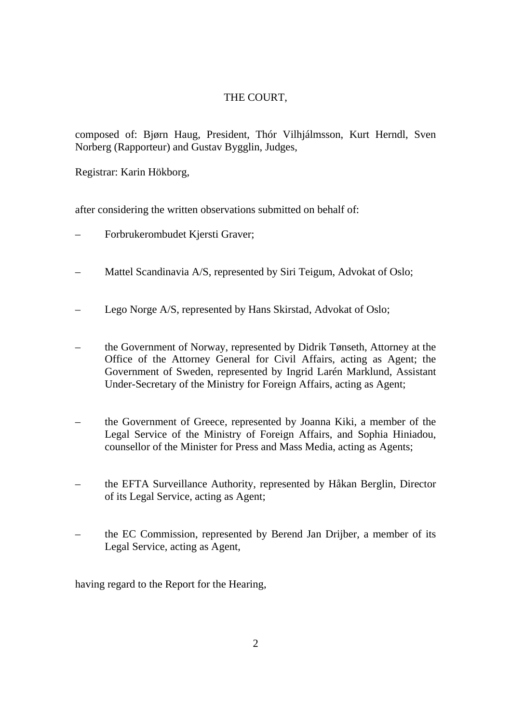# THE COURT,

composed of: Bjørn Haug, President, Thór Vilhjálmsson, Kurt Herndl, Sven Norberg (Rapporteur) and Gustav Bygglin, Judges,

Registrar: Karin Hökborg,

after considering the written observations submitted on behalf of:

- Forbrukerombudet Kjersti Graver;
- Mattel Scandinavia A/S, represented by Siri Teigum, Advokat of Oslo;
- Lego Norge A/S, represented by Hans Skirstad, Advokat of Oslo;
- the Government of Norway, represented by Didrik Tønseth, Attorney at the Office of the Attorney General for Civil Affairs, acting as Agent; the Government of Sweden, represented by Ingrid Larén Marklund, Assistant Under-Secretary of the Ministry for Foreign Affairs, acting as Agent;
- the Government of Greece, represented by Joanna Kiki, a member of the Legal Service of the Ministry of Foreign Affairs, and Sophia Hiniadou, counsellor of the Minister for Press and Mass Media, acting as Agents;
- the EFTA Surveillance Authority, represented by Håkan Berglin, Director of its Legal Service, acting as Agent;
- the EC Commission, represented by Berend Jan Drijber, a member of its Legal Service, acting as Agent,

having regard to the Report for the Hearing,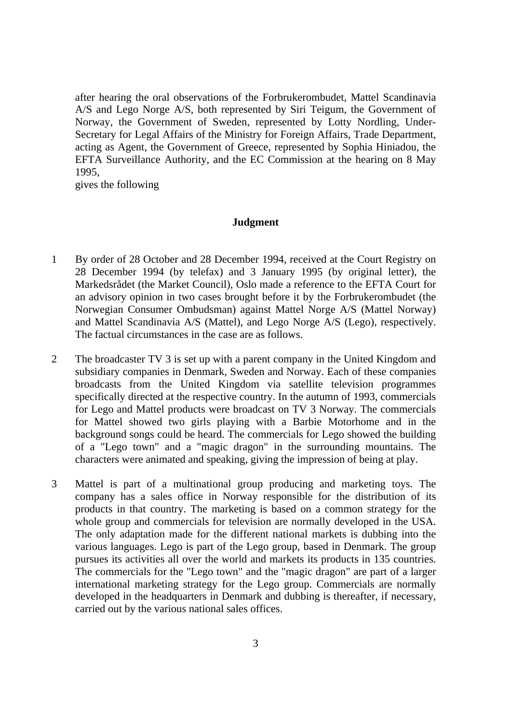after hearing the oral observations of the Forbrukerombudet, Mattel Scandinavia A/S and Lego Norge A/S, both represented by Siri Teigum, the Government of Norway, the Government of Sweden, represented by Lotty Nordling, Under-Secretary for Legal Affairs of the Ministry for Foreign Affairs, Trade Department, acting as Agent, the Government of Greece, represented by Sophia Hiniadou, the EFTA Surveillance Authority, and the EC Commission at the hearing on 8 May 1995,

gives the following

### **Judgment**

- 1 By order of 28 October and 28 December 1994, received at the Court Registry on 28 December 1994 (by telefax) and 3 January 1995 (by original letter), the Markedsrådet (the Market Council), Oslo made a reference to the EFTA Court for an advisory opinion in two cases brought before it by the Forbrukerombudet (the Norwegian Consumer Ombudsman) against Mattel Norge A/S (Mattel Norway) and Mattel Scandinavia A/S (Mattel), and Lego Norge A/S (Lego), respectively. The factual circumstances in the case are as follows.
- 2 The broadcaster TV 3 is set up with a parent company in the United Kingdom and subsidiary companies in Denmark, Sweden and Norway. Each of these companies broadcasts from the United Kingdom via satellite television programmes specifically directed at the respective country. In the autumn of 1993, commercials for Lego and Mattel products were broadcast on TV 3 Norway. The commercials for Mattel showed two girls playing with a Barbie Motorhome and in the background songs could be heard. The commercials for Lego showed the building of a "Lego town" and a "magic dragon" in the surrounding mountains. The characters were animated and speaking, giving the impression of being at play.
- 3 Mattel is part of a multinational group producing and marketing toys. The company has a sales office in Norway responsible for the distribution of its products in that country. The marketing is based on a common strategy for the whole group and commercials for television are normally developed in the USA. The only adaptation made for the different national markets is dubbing into the various languages. Lego is part of the Lego group, based in Denmark. The group pursues its activities all over the world and markets its products in 135 countries. The commercials for the "Lego town" and the "magic dragon" are part of a larger international marketing strategy for the Lego group. Commercials are normally developed in the headquarters in Denmark and dubbing is thereafter, if necessary, carried out by the various national sales offices.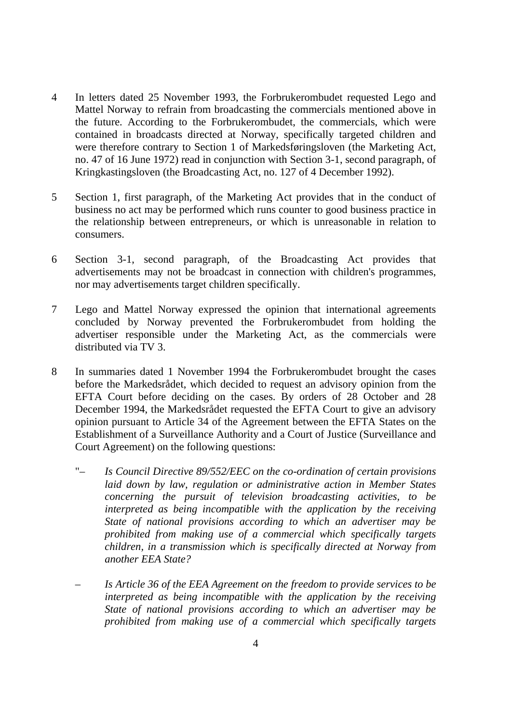- 4 In letters dated 25 November 1993, the Forbrukerombudet requested Lego and Mattel Norway to refrain from broadcasting the commercials mentioned above in the future. According to the Forbrukerombudet, the commercials, which were contained in broadcasts directed at Norway, specifically targeted children and were therefore contrary to Section 1 of Markedsføringsloven (the Marketing Act, no. 47 of 16 June 1972) read in conjunction with Section 3-1, second paragraph, of Kringkastingsloven (the Broadcasting Act, no. 127 of 4 December 1992).
- 5 Section 1, first paragraph, of the Marketing Act provides that in the conduct of business no act may be performed which runs counter to good business practice in the relationship between entrepreneurs, or which is unreasonable in relation to consumers.
- 6 Section 3-1, second paragraph, of the Broadcasting Act provides that advertisements may not be broadcast in connection with children's programmes, nor may advertisements target children specifically.
- 7 Lego and Mattel Norway expressed the opinion that international agreements concluded by Norway prevented the Forbrukerombudet from holding the advertiser responsible under the Marketing Act, as the commercials were distributed via TV 3.
- 8 In summaries dated 1 November 1994 the Forbrukerombudet brought the cases before the Markedsrådet, which decided to request an advisory opinion from the EFTA Court before deciding on the cases. By orders of 28 October and 28 December 1994, the Markedsrådet requested the EFTA Court to give an advisory opinion pursuant to Article 34 of the Agreement between the EFTA States on the Establishment of a Surveillance Authority and a Court of Justice (Surveillance and Court Agreement) on the following questions:
	- " *Is Council Directive 89/552/EEC on the co-ordination of certain provisions laid down by law, regulation or administrative action in Member States concerning the pursuit of television broadcasting activities, to be interpreted as being incompatible with the application by the receiving State of national provisions according to which an advertiser may be prohibited from making use of a commercial which specifically targets children, in a transmission which is specifically directed at Norway from another EEA State?*
	- *Is Article 36 of the EEA Agreement on the freedom to provide services to be interpreted as being incompatible with the application by the receiving State of national provisions according to which an advertiser may be prohibited from making use of a commercial which specifically targets*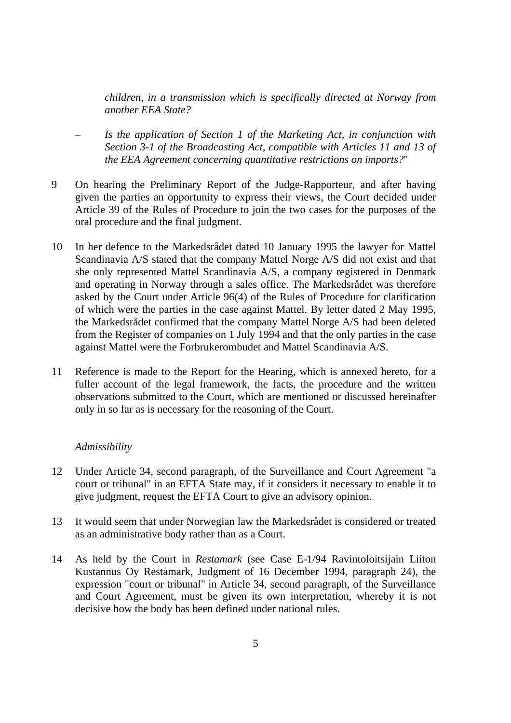*children, in a transmission which is specifically directed at Norway from another EEA State?* 

- *Is the application of Section 1 of the Marketing Act, in conjunction with Section 3-1 of the Broadcasting Act, compatible with Articles 11 and 13 of the EEA Agreement concerning quantitative restrictions on imports?*"
- 9 On hearing the Preliminary Report of the Judge-Rapporteur, and after having given the parties an opportunity to express their views, the Court decided under Article 39 of the Rules of Procedure to join the two cases for the purposes of the oral procedure and the final judgment.
- 10 In her defence to the Markedsrådet dated 10 January 1995 the lawyer for Mattel Scandinavia A/S stated that the company Mattel Norge A/S did not exist and that she only represented Mattel Scandinavia A/S, a company registered in Denmark and operating in Norway through a sales office. The Markedsrådet was therefore asked by the Court under Article 96(4) of the Rules of Procedure for clarification of which were the parties in the case against Mattel. By letter dated 2 May 1995, the Markedsrådet confirmed that the company Mattel Norge A/S had been deleted from the Register of companies on 1 July 1994 and that the only parties in the case against Mattel were the Forbrukerombudet and Mattel Scandinavia A/S.
- 11 Reference is made to the Report for the Hearing, which is annexed hereto, for a fuller account of the legal framework, the facts, the procedure and the written observations submitted to the Court, which are mentioned or discussed hereinafter only in so far as is necessary for the reasoning of the Court.

# *Admissibility*

- 12 Under Article 34, second paragraph, of the Surveillance and Court Agreement "a court or tribunal" in an EFTA State may, if it considers it necessary to enable it to give judgment, request the EFTA Court to give an advisory opinion.
- 13 It would seem that under Norwegian law the Markedsrådet is considered or treated as an administrative body rather than as a Court.
- 14 As held by the Court in *Restamark* (see Case E-1/94 Ravintoloitsijain Liiton Kustannus Oy Restamark, Judgment of 16 December 1994, paragraph 24), the expression "court or tribunal" in Article 34, second paragraph, of the Surveillance and Court Agreement, must be given its own interpretation, whereby it is not decisive how the body has been defined under national rules.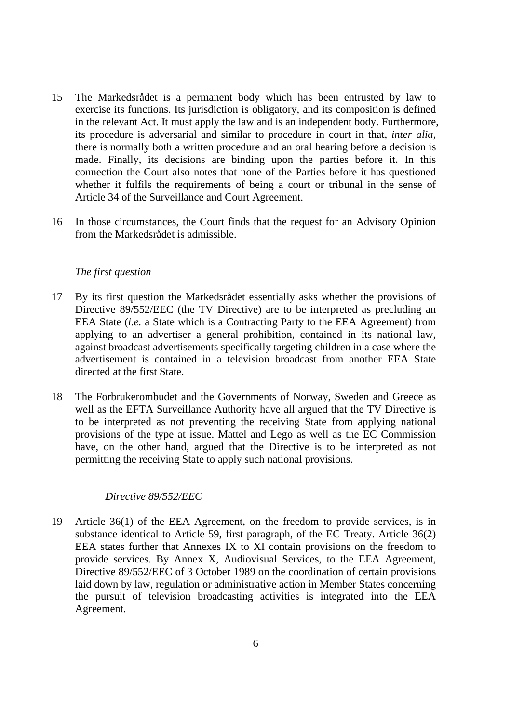- 15 The Markedsrådet is a permanent body which has been entrusted by law to exercise its functions. Its jurisdiction is obligatory, and its composition is defined in the relevant Act. It must apply the law and is an independent body. Furthermore, its procedure is adversarial and similar to procedure in court in that, *inter alia*, there is normally both a written procedure and an oral hearing before a decision is made. Finally, its decisions are binding upon the parties before it. In this connection the Court also notes that none of the Parties before it has questioned whether it fulfils the requirements of being a court or tribunal in the sense of Article 34 of the Surveillance and Court Agreement.
- 16 In those circumstances, the Court finds that the request for an Advisory Opinion from the Markedsrådet is admissible.

# *The first question*

- 17 By its first question the Markedsrådet essentially asks whether the provisions of Directive 89/552/EEC (the TV Directive) are to be interpreted as precluding an EEA State (*i.e.* a State which is a Contracting Party to the EEA Agreement) from applying to an advertiser a general prohibition, contained in its national law, against broadcast advertisements specifically targeting children in a case where the advertisement is contained in a television broadcast from another EEA State directed at the first State.
- 18 The Forbrukerombudet and the Governments of Norway, Sweden and Greece as well as the EFTA Surveillance Authority have all argued that the TV Directive is to be interpreted as not preventing the receiving State from applying national provisions of the type at issue. Mattel and Lego as well as the EC Commission have, on the other hand, argued that the Directive is to be interpreted as not permitting the receiving State to apply such national provisions.

### *Directive 89/552/EEC*

19 Article 36(1) of the EEA Agreement, on the freedom to provide services, is in substance identical to Article 59, first paragraph, of the EC Treaty. Article 36(2) EEA states further that Annexes IX to XI contain provisions on the freedom to provide services. By Annex X, Audiovisual Services, to the EEA Agreement, Directive 89/552/EEC of 3 October 1989 on the coordination of certain provisions laid down by law, regulation or administrative action in Member States concerning the pursuit of television broadcasting activities is integrated into the EEA Agreement.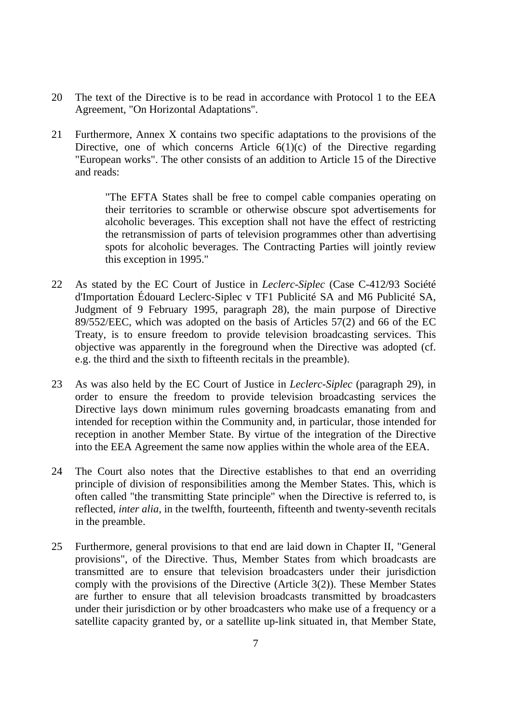- 20 The text of the Directive is to be read in accordance with Protocol 1 to the EEA Agreement, "On Horizontal Adaptations".
- 21 Furthermore, Annex X contains two specific adaptations to the provisions of the Directive, one of which concerns Article  $6(1)(c)$  of the Directive regarding "European works". The other consists of an addition to Article 15 of the Directive and reads:

"The EFTA States shall be free to compel cable companies operating on their territories to scramble or otherwise obscure spot advertisements for alcoholic beverages. This exception shall not have the effect of restricting the retransmission of parts of television programmes other than advertising spots for alcoholic beverages. The Contracting Parties will jointly review this exception in 1995."

- 22 As stated by the EC Court of Justice in *Leclerc-Siplec* (Case C-412/93 Société d'Importation Édouard Leclerc-Siplec v TF1 Publicité SA and M6 Publicité SA, Judgment of 9 February 1995, paragraph 28), the main purpose of Directive 89/552/EEC, which was adopted on the basis of Articles 57(2) and 66 of the EC Treaty, is to ensure freedom to provide television broadcasting services. This objective was apparently in the foreground when the Directive was adopted (cf. e.g. the third and the sixth to fifteenth recitals in the preamble).
- 23 As was also held by the EC Court of Justice in *Leclerc-Siplec* (paragraph 29), in order to ensure the freedom to provide television broadcasting services the Directive lays down minimum rules governing broadcasts emanating from and intended for reception within the Community and, in particular, those intended for reception in another Member State. By virtue of the integration of the Directive into the EEA Agreement the same now applies within the whole area of the EEA.
- 24 The Court also notes that the Directive establishes to that end an overriding principle of division of responsibilities among the Member States. This, which is often called "the transmitting State principle" when the Directive is referred to, is reflected, *inter alia,* in the twelfth, fourteenth, fifteenth and twenty-seventh recitals in the preamble.
- 25 Furthermore, general provisions to that end are laid down in Chapter II, "General provisions", of the Directive. Thus, Member States from which broadcasts are transmitted are to ensure that television broadcasters under their jurisdiction comply with the provisions of the Directive (Article 3(2)). These Member States are further to ensure that all television broadcasts transmitted by broadcasters under their jurisdiction or by other broadcasters who make use of a frequency or a satellite capacity granted by, or a satellite up-link situated in, that Member State,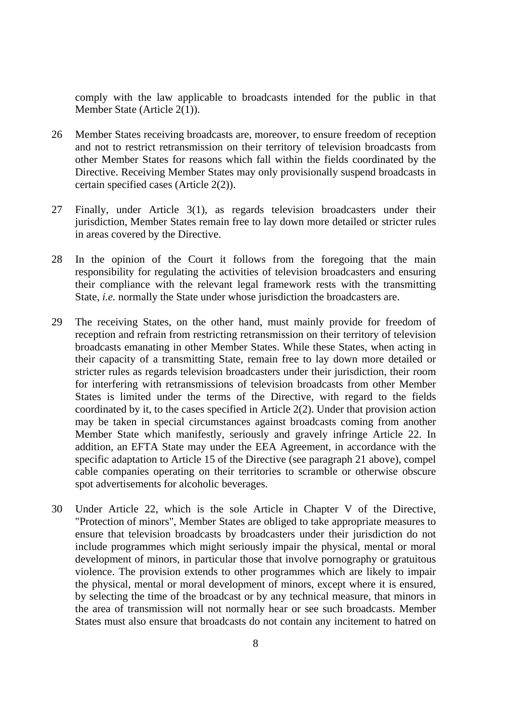comply with the law applicable to broadcasts intended for the public in that Member State (Article 2(1)).

- 26 Member States receiving broadcasts are, moreover, to ensure freedom of reception and not to restrict retransmission on their territory of television broadcasts from other Member States for reasons which fall within the fields coordinated by the Directive. Receiving Member States may only provisionally suspend broadcasts in certain specified cases (Article 2(2)).
- 27 Finally, under Article 3(1), as regards television broadcasters under their jurisdiction, Member States remain free to lay down more detailed or stricter rules in areas covered by the Directive.
- 28 In the opinion of the Court it follows from the foregoing that the main responsibility for regulating the activities of television broadcasters and ensuring their compliance with the relevant legal framework rests with the transmitting State, *i.e.* normally the State under whose jurisdiction the broadcasters are.
- 29 The receiving States, on the other hand, must mainly provide for freedom of reception and refrain from restricting retransmission on their territory of television broadcasts emanating in other Member States. While these States, when acting in their capacity of a transmitting State, remain free to lay down more detailed or stricter rules as regards television broadcasters under their jurisdiction, their room for interfering with retransmissions of television broadcasts from other Member States is limited under the terms of the Directive, with regard to the fields coordinated by it, to the cases specified in Article 2(2). Under that provision action may be taken in special circumstances against broadcasts coming from another Member State which manifestly, seriously and gravely infringe Article 22. In addition, an EFTA State may under the EEA Agreement, in accordance with the specific adaptation to Article 15 of the Directive (see paragraph 21 above), compel cable companies operating on their territories to scramble or otherwise obscure spot advertisements for alcoholic beverages.
- 30 Under Article 22, which is the sole Article in Chapter V of the Directive, "Protection of minors", Member States are obliged to take appropriate measures to ensure that television broadcasts by broadcasters under their jurisdiction do not include programmes which might seriously impair the physical, mental or moral development of minors, in particular those that involve pornography or gratuitous violence. The provision extends to other programmes which are likely to impair the physical, mental or moral development of minors, except where it is ensured, by selecting the time of the broadcast or by any technical measure, that minors in the area of transmission will not normally hear or see such broadcasts. Member States must also ensure that broadcasts do not contain any incitement to hatred on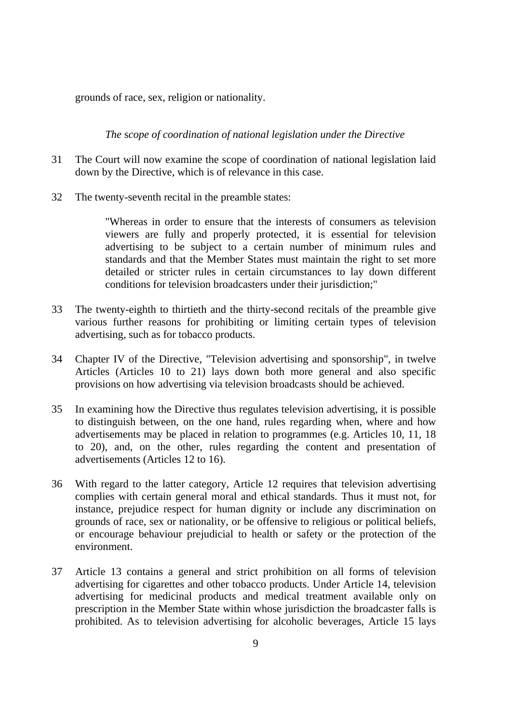grounds of race, sex, religion or nationality.

*The* s*cope of coordination of national legislation under the Directive*

- 31 The Court will now examine the scope of coordination of national legislation laid down by the Directive, which is of relevance in this case.
- 32 The twenty-seventh recital in the preamble states:

"Whereas in order to ensure that the interests of consumers as television viewers are fully and properly protected, it is essential for television advertising to be subject to a certain number of minimum rules and standards and that the Member States must maintain the right to set more detailed or stricter rules in certain circumstances to lay down different conditions for television broadcasters under their jurisdiction;"

- 33 The twenty-eighth to thirtieth and the thirty-second recitals of the preamble give various further reasons for prohibiting or limiting certain types of television advertising, such as for tobacco products.
- 34 Chapter IV of the Directive, "Television advertising and sponsorship", in twelve Articles (Articles 10 to 21) lays down both more general and also specific provisions on how advertising via television broadcasts should be achieved.
- 35 In examining how the Directive thus regulates television advertising, it is possible to distinguish between, on the one hand, rules regarding when, where and how advertisements may be placed in relation to programmes (e.g. Articles 10, 11, 18 to 20), and, on the other, rules regarding the content and presentation of advertisements (Articles 12 to 16).
- 36 With regard to the latter category, Article 12 requires that television advertising complies with certain general moral and ethical standards. Thus it must not, for instance, prejudice respect for human dignity or include any discrimination on grounds of race, sex or nationality, or be offensive to religious or political beliefs, or encourage behaviour prejudicial to health or safety or the protection of the environment.
- 37 Article 13 contains a general and strict prohibition on all forms of television advertising for cigarettes and other tobacco products. Under Article 14, television advertising for medicinal products and medical treatment available only on prescription in the Member State within whose jurisdiction the broadcaster falls is prohibited. As to television advertising for alcoholic beverages, Article 15 lays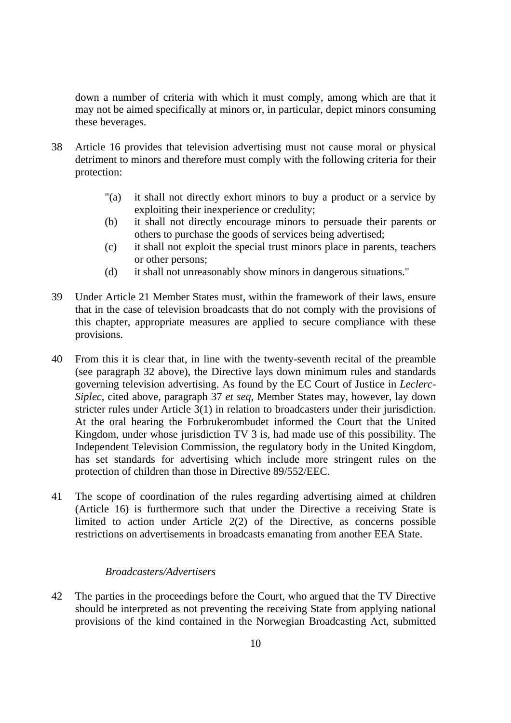down a number of criteria with which it must comply, among which are that it may not be aimed specifically at minors or, in particular, depict minors consuming these beverages.

- 38 Article 16 provides that television advertising must not cause moral or physical detriment to minors and therefore must comply with the following criteria for their protection:
	- "(a) it shall not directly exhort minors to buy a product or a service by exploiting their inexperience or credulity;
	- (b) it shall not directly encourage minors to persuade their parents or others to purchase the goods of services being advertised;
	- (c) it shall not exploit the special trust minors place in parents, teachers or other persons;
	- (d) it shall not unreasonably show minors in dangerous situations."
- 39 Under Article 21 Member States must, within the framework of their laws, ensure that in the case of television broadcasts that do not comply with the provisions of this chapter, appropriate measures are applied to secure compliance with these provisions.
- 40 From this it is clear that, in line with the twenty-seventh recital of the preamble (see paragraph 32 above), the Directive lays down minimum rules and standards governing television advertising. As found by the EC Court of Justice in *Leclerc-Siplec*, cited above, paragraph 37 *et seq*, Member States may, however, lay down stricter rules under Article 3(1) in relation to broadcasters under their jurisdiction. At the oral hearing the Forbrukerombudet informed the Court that the United Kingdom, under whose jurisdiction TV 3 is, had made use of this possibility*.* The Independent Television Commission, the regulatory body in the United Kingdom, has set standards for advertising which include more stringent rules on the protection of children than those in Directive 89/552/EEC.
- 41 The scope of coordination of the rules regarding advertising aimed at children (Article 16) is furthermore such that under the Directive a receiving State is limited to action under Article 2(2) of the Directive, as concerns possible restrictions on advertisements in broadcasts emanating from another EEA State.

# *Broadcasters/Advertisers*

42 The parties in the proceedings before the Court, who argued that the TV Directive should be interpreted as not preventing the receiving State from applying national provisions of the kind contained in the Norwegian Broadcasting Act, submitted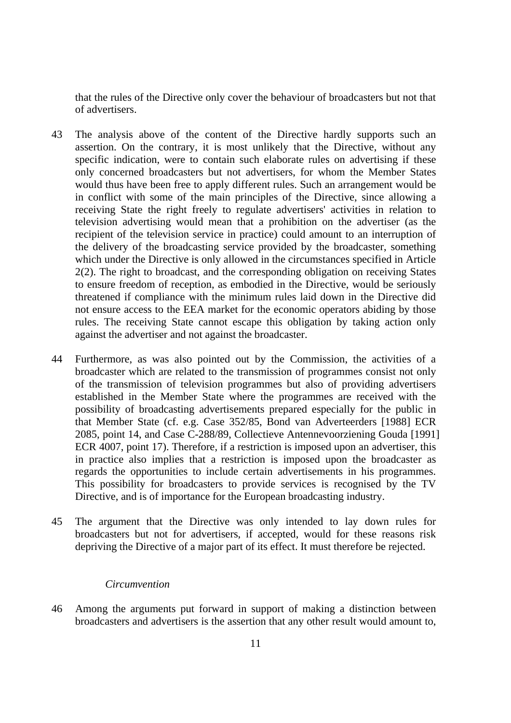that the rules of the Directive only cover the behaviour of broadcasters but not that of advertisers.

- 43 The analysis above of the content of the Directive hardly supports such an assertion. On the contrary, it is most unlikely that the Directive, without any specific indication, were to contain such elaborate rules on advertising if these only concerned broadcasters but not advertisers, for whom the Member States would thus have been free to apply different rules. Such an arrangement would be in conflict with some of the main principles of the Directive, since allowing a receiving State the right freely to regulate advertisers' activities in relation to television advertising would mean that a prohibition on the advertiser (as the recipient of the television service in practice) could amount to an interruption of the delivery of the broadcasting service provided by the broadcaster, something which under the Directive is only allowed in the circumstances specified in Article 2(2). The right to broadcast, and the corresponding obligation on receiving States to ensure freedom of reception, as embodied in the Directive, would be seriously threatened if compliance with the minimum rules laid down in the Directive did not ensure access to the EEA market for the economic operators abiding by those rules. The receiving State cannot escape this obligation by taking action only against the advertiser and not against the broadcaster.
- 44 Furthermore, as was also pointed out by the Commission, the activities of a broadcaster which are related to the transmission of programmes consist not only of the transmission of television programmes but also of providing advertisers established in the Member State where the programmes are received with the possibility of broadcasting advertisements prepared especially for the public in that Member State (cf. e.g. Case 352/85, Bond van Adverteerders [1988] ECR 2085, point 14, and Case C-288/89, Collectieve Antennevoorziening Gouda [1991] ECR 4007, point 17). Therefore, if a restriction is imposed upon an advertiser, this in practice also implies that a restriction is imposed upon the broadcaster as regards the opportunities to include certain advertisements in his programmes. This possibility for broadcasters to provide services is recognised by the TV Directive, and is of importance for the European broadcasting industry.
- 45 The argument that the Directive was only intended to lay down rules for broadcasters but not for advertisers, if accepted, would for these reasons risk depriving the Directive of a major part of its effect. It must therefore be rejected.

#### *Circumvention*

46 Among the arguments put forward in support of making a distinction between broadcasters and advertisers is the assertion that any other result would amount to,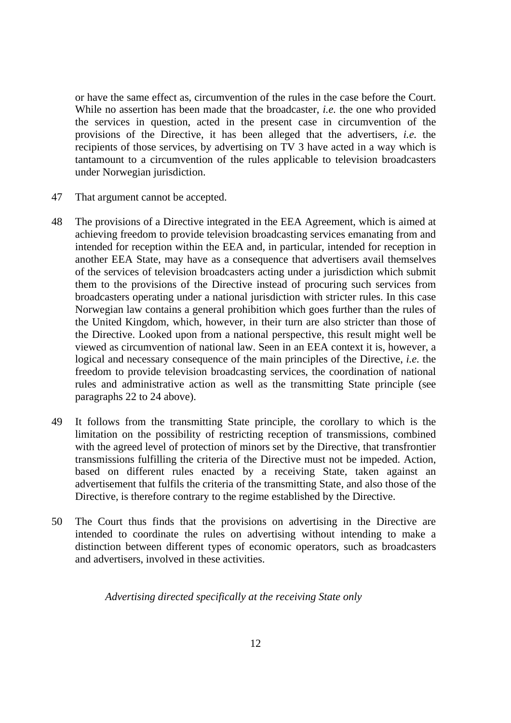or have the same effect as, circumvention of the rules in the case before the Court. While no assertion has been made that the broadcaster, *i.e.* the one who provided the services in question, acted in the present case in circumvention of the provisions of the Directive, it has been alleged that the advertisers, *i.e.* the recipients of those services, by advertising on TV 3 have acted in a way which is tantamount to a circumvention of the rules applicable to television broadcasters under Norwegian jurisdiction.

- 47 That argument cannot be accepted.
- 48 The provisions of a Directive integrated in the EEA Agreement, which is aimed at achieving freedom to provide television broadcasting services emanating from and intended for reception within the EEA and, in particular, intended for reception in another EEA State, may have as a consequence that advertisers avail themselves of the services of television broadcasters acting under a jurisdiction which submit them to the provisions of the Directive instead of procuring such services from broadcasters operating under a national jurisdiction with stricter rules. In this case Norwegian law contains a general prohibition which goes further than the rules of the United Kingdom, which, however, in their turn are also stricter than those of the Directive. Looked upon from a national perspective, this result might well be viewed as circumvention of national law. Seen in an EEA context it is, however, a logical and necessary consequence of the main principles of the Directive, *i.e.* the freedom to provide television broadcasting services, the coordination of national rules and administrative action as well as the transmitting State principle (see paragraphs 22 to 24 above).
- 49 It follows from the transmitting State principle, the corollary to which is the limitation on the possibility of restricting reception of transmissions, combined with the agreed level of protection of minors set by the Directive, that transfrontier transmissions fulfilling the criteria of the Directive must not be impeded. Action, based on different rules enacted by a receiving State, taken against an advertisement that fulfils the criteria of the transmitting State, and also those of the Directive, is therefore contrary to the regime established by the Directive.
- 50 The Court thus finds that the provisions on advertising in the Directive are intended to coordinate the rules on advertising without intending to make a distinction between different types of economic operators, such as broadcasters and advertisers, involved in these activities.

*Advertising directed specifically at the receiving State only*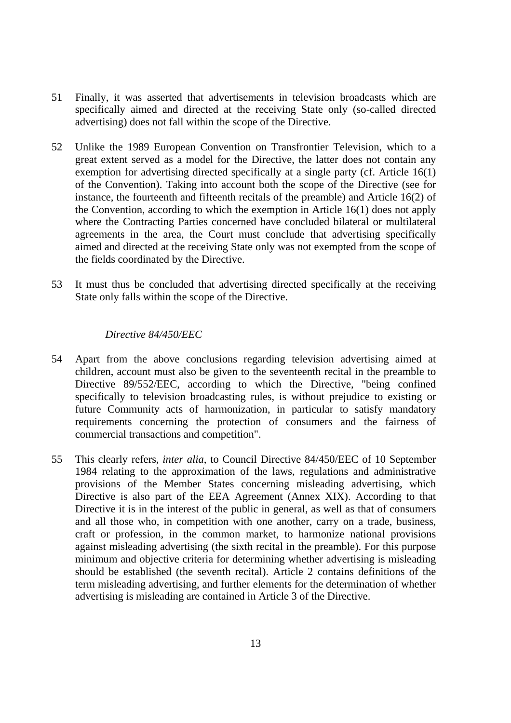- 51 Finally, it was asserted that advertisements in television broadcasts which are specifically aimed and directed at the receiving State only (so-called directed advertising) does not fall within the scope of the Directive.
- 52 Unlike the 1989 European Convention on Transfrontier Television, which to a great extent served as a model for the Directive, the latter does not contain any exemption for advertising directed specifically at a single party (cf. Article 16(1) of the Convention). Taking into account both the scope of the Directive (see for instance, the fourteenth and fifteenth recitals of the preamble) and Article 16(2) of the Convention, according to which the exemption in Article 16(1) does not apply where the Contracting Parties concerned have concluded bilateral or multilateral agreements in the area, the Court must conclude that advertising specifically aimed and directed at the receiving State only was not exempted from the scope of the fields coordinated by the Directive.
- 53 It must thus be concluded that advertising directed specifically at the receiving State only falls within the scope of the Directive.

# *Directive 84/450/EEC*

- 54 Apart from the above conclusions regarding television advertising aimed at children, account must also be given to the seventeenth recital in the preamble to Directive 89/552/EEC, according to which the Directive, "being confined specifically to television broadcasting rules, is without prejudice to existing or future Community acts of harmonization, in particular to satisfy mandatory requirements concerning the protection of consumers and the fairness of commercial transactions and competition".
- 55 This clearly refers, *inter alia*, to Council Directive 84/450/EEC of 10 September 1984 relating to the approximation of the laws, regulations and administrative provisions of the Member States concerning misleading advertising, which Directive is also part of the EEA Agreement (Annex XIX). According to that Directive it is in the interest of the public in general, as well as that of consumers and all those who, in competition with one another, carry on a trade, business, craft or profession, in the common market, to harmonize national provisions against misleading advertising (the sixth recital in the preamble). For this purpose minimum and objective criteria for determining whether advertising is misleading should be established (the seventh recital). Article 2 contains definitions of the term misleading advertising, and further elements for the determination of whether advertising is misleading are contained in Article 3 of the Directive.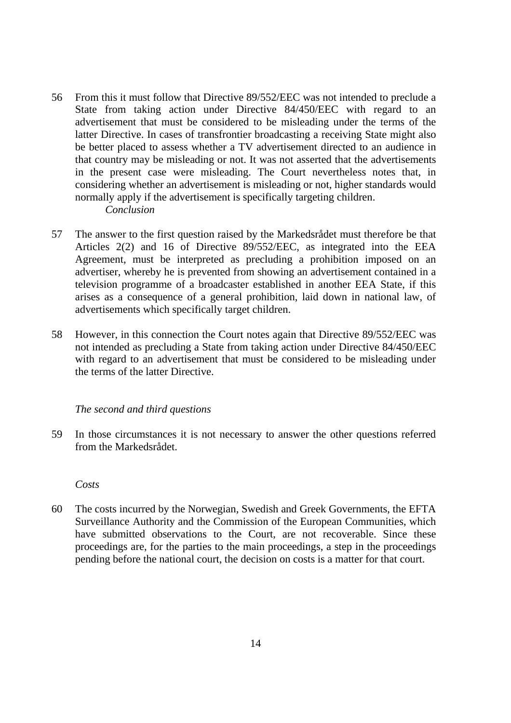- 56 From this it must follow that Directive 89/552/EEC was not intended to preclude a State from taking action under Directive 84/450/EEC with regard to an advertisement that must be considered to be misleading under the terms of the latter Directive. In cases of transfrontier broadcasting a receiving State might also be better placed to assess whether a TV advertisement directed to an audience in that country may be misleading or not. It was not asserted that the advertisements in the present case were misleading. The Court nevertheless notes that, in considering whether an advertisement is misleading or not, higher standards would normally apply if the advertisement is specifically targeting children. *Conclusion*
- 57 The answer to the first question raised by the Markedsrådet must therefore be that Articles 2(2) and 16 of Directive 89/552/EEC, as integrated into the EEA Agreement, must be interpreted as precluding a prohibition imposed on an advertiser, whereby he is prevented from showing an advertisement contained in a television programme of a broadcaster established in another EEA State, if this arises as a consequence of a general prohibition, laid down in national law, of advertisements which specifically target children.
- 58 However, in this connection the Court notes again that Directive 89/552/EEC was not intended as precluding a State from taking action under Directive 84/450/EEC with regard to an advertisement that must be considered to be misleading under the terms of the latter Directive.

# *The second and third questions*

59 In those circumstances it is not necessary to answer the other questions referred from the Markedsrådet.

 *Costs* 

60 The costs incurred by the Norwegian, Swedish and Greek Governments, the EFTA Surveillance Authority and the Commission of the European Communities, which have submitted observations to the Court, are not recoverable. Since these proceedings are, for the parties to the main proceedings, a step in the proceedings pending before the national court, the decision on costs is a matter for that court.